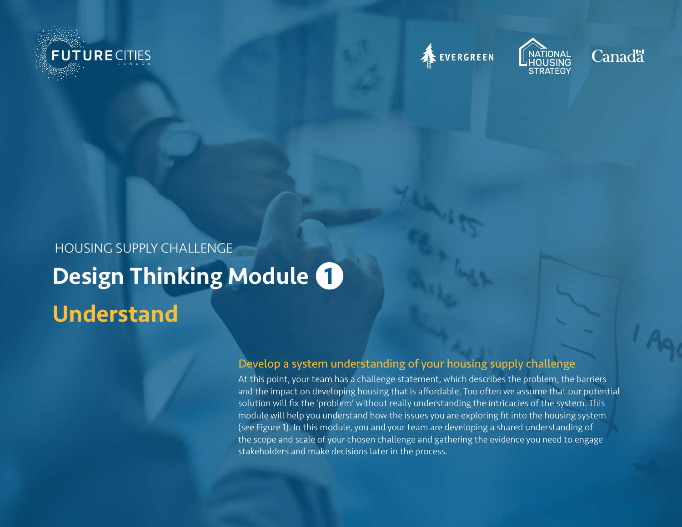







# Design Thinking Module 1 Understand HOUSING SUPPLY CHALLENGE

# Develop a system understanding of your housing supply challenge

At this point, your team has a challenge statement, which describes the problem, the barriers and the impact on developing housing that is affordable. Too often we assume that our potential solution will fix the 'problem' without really understanding the intricacies of the system. This module will help you understand how the issues you are exploring fit into the housing system (see Figure 1). In this module, you and your team are developing a shared understanding of the scope and scale of your chosen challenge and gathering the evidence you need to engage stakeholders and make decisions later in the process.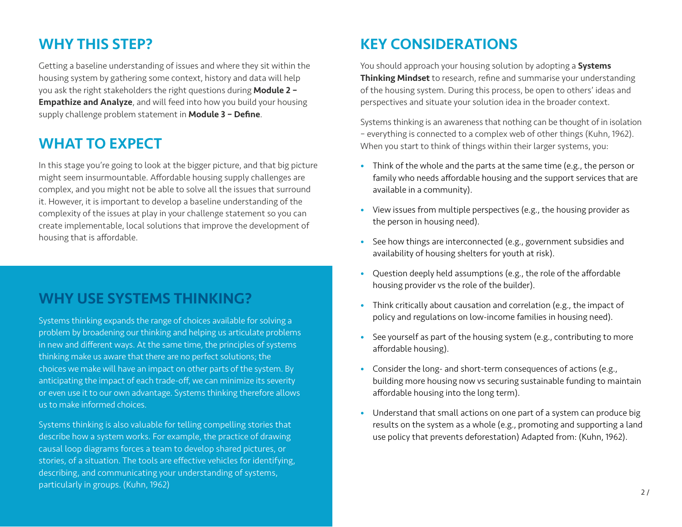# WHY THIS STEP?

Getting a baseline understanding of issues and where they sit within the housing system by gathering some context, history and data will help you ask the right stakeholders the right questions during Module 2 -**Empathize and Analyze**, and will feed into how you build your housing supply challenge problem statement in **Module 3 - Define**.

# WHAT TO EXPECT

In this stage you're going to look at the bigger picture, and that big picture might seem insurmountable. Affordable housing supply challenges are complex, and you might not be able to solve all the issues that surround it. However, it is important to develop a baseline understanding of the complexity of the issues at play in your challenge statement so you can create implementable, local solutions that improve the development of housing that is affordable.

# WHY USE SYSTEMS THINKING?

Systems thinking expands the range of choices available for solving a problem by broadening our thinking and helping us articulate problems in new and different ways. At the same time, the principles of systems thinking make us aware that there are no perfect solutions; the choices we make will have an impact on other parts of the system. By anticipating the impact of each trade-off, we can minimize its severity or even use it to our own advantage. Systems thinking therefore allows us to make informed choices.

Systems thinking is also valuable for telling compelling stories that describe how a system works. For example, the practice of drawing causal loop diagrams forces a team to develop shared pictures, or stories, of a situation. The tools are effective vehicles for identifying, describing, and communicating your understanding of systems, particularly in groups. (Kuhn, 1962)

# KEY CONSIDERATIONS

You should approach your housing solution by adopting a **Systems** Thinking Mindset to research, refine and summarise your understanding of the housing system. During this process, be open to others' ideas and perspectives and situate your solution idea in the broader context.

Systems thinking is an awareness that nothing can be thought of in isolation – everything is connected to a complex web of other things (Kuhn, 1962). When you start to think of things within their larger systems, you:

- Think of the whole and the parts at the same time (e.g., the person or family who needs affordable housing and the support services that are available in a community).
- View issues from multiple perspectives (e.g., the housing provider as the person in housing need).
- See how things are interconnected (e.g., government subsidies and availability of housing shelters for youth at risk).
- Question deeply held assumptions (e.g., the role of the affordable housing provider vs the role of the builder).
- Think critically about causation and correlation (e.g., the impact of policy and regulations on low-income families in housing need).
- See yourself as part of the housing system (e.g., contributing to more affordable housing).
- Consider the long- and short-term consequences of actions (e.g., building more housing now vs securing sustainable funding to maintain affordable housing into the long term).
- Understand that small actions on one part of a system can produce big results on the system as a whole (e.g., promoting and supporting a land use policy that prevents deforestation) Adapted from: (Kuhn, 1962).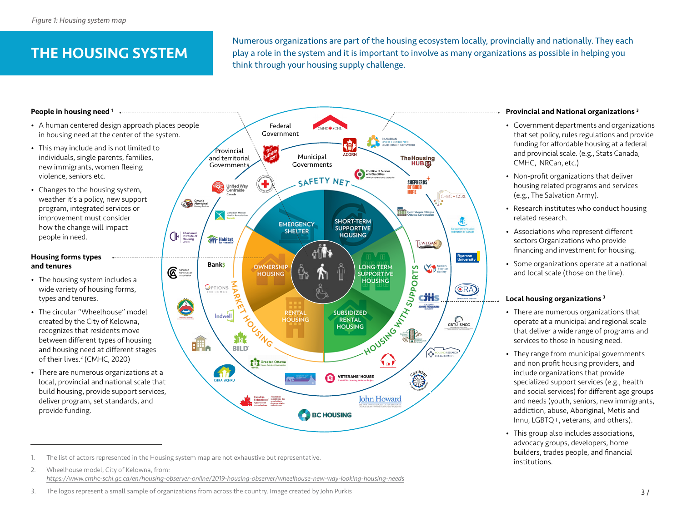# THE HOUSING SYSTEM

Numerous organizations are part of the housing ecosystem locally, provincially and nationally. They each play a role in the system and it is important to involve as many organizations as possible in helping you think through your housing supply challenge.

#### People in housing need 1

- A human centered design approach places people in housing need at the center of the system.
- This may include and is not limited to individuals, single parents, families, new immigrants, women fleeing violence, seniors etc.
- Changes to the housing system, weather it's a policy, new support program, integrated services or improvement must consider how the change will impact people in need.

#### Housing forms types and tenures

- The housing system includes a wide variety of housing forms, types and tenures.
- The circular "Wheelhouse" model created by the City of Kelowna, recognizes that residents move between different types of housing and housing need at different stages of their lives.2 (CMHC, 2020)
- There are numerous organizations at a local, provincial and national scale that build housing, provide support services, deliver program, set standards, and provide funding.



1. The list of actors represented in the Housing system map are not exhaustive but representative.<br>2. Wheelhouse model. City of Kelowna. from: Wheelhouse model, City of Kelowna, from: *https://www.cmhc-schl.gc.ca/en/housing-observer-online/2019-housing-observer/wheelhouse-new-way-looking-housing-needs*

#### Provincial and National organizations 3

- Government departments and organizations that set policy, rules regulations and provide funding for affordable housing at a federal and provincial scale. (e.g., Stats Canada, CMHC, NRCan, etc.)
- Non-profit organizations that deliver housing related programs and services (e.g., The Salvation Army).
- Research institutes who conduct housing related research.
- Associations who represent different sectors Organizations who provide financing and investment for housing.
- Some organizations operate at a national and local scale (those on the line).

#### Local housing organizations 3

- There are numerous organizations that operate at a municipal and regional scale that deliver a wide range of programs and services to those in housing need.
- They range from municipal governments and non profit housing providers, and include organizations that provide specialized support services (e.g., health and social services) for different age groups and needs (youth, seniors, new immigrants, addiction, abuse, Aboriginal, Metis and Innu, LGBTQ+, veterans, and others).
- This group also includes associations, advocacy groups, developers, home builders, trades people, and financial

<sup>3.</sup> The logos represent a small sample of organizations from across the country. Image created by John Purkis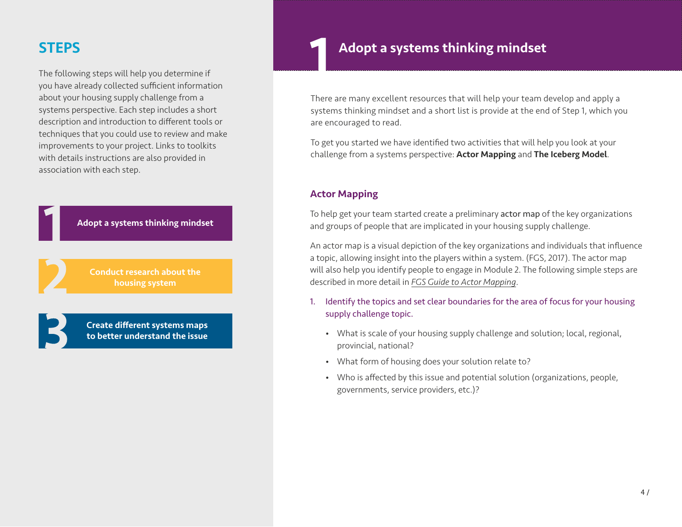# **STEPS**

The following steps will help you determine if you have already collected sufficient information about your housing supply challenge from a systems perspective. Each step includes a short description and introduction to different tools or techniques that you could use to review and make improvements to your project. Links to toolkits with details instructions are also provided in association with each step.

Adopt a systems thinking mindset

Conduct research about the housing system

Create different systems maps to better understand the issue

# Adopt a systems thinking mindset

There are many excellent resources that will help your team develop and apply a systems thinking mindset and a short list is provide at the end of Step 1, which you are encouraged to read.

To get you started we have identified two activities that will help you look at your challenge from a systems perspective: Actor Mapping and The Iceberg Model.

### Actor Mapping

To help get your team started create a preliminary actor map of the key organizations and groups of people that are implicated in your housing supply challenge.

An actor map is a visual depiction of the key organizations and individuals that influence a topic, allowing insight into the players within a system. (FGS, 2017). The actor map will also help you identify people to engage in Module 2. The following simple steps are described in more detail in *[FGS Guide to Actor Mapping](https://www.fsg.org/tools-and-resources/guide-actor-mapping)*.

- 1. Identify the topics and set clear boundaries for the area of focus for your housing supply challenge topic.
	- What is scale of your housing supply challenge and solution; local, regional, provincial, national?
	- What form of housing does your solution relate to?
	- Who is affected by this issue and potential solution (organizations, people, governments, service providers, etc.)?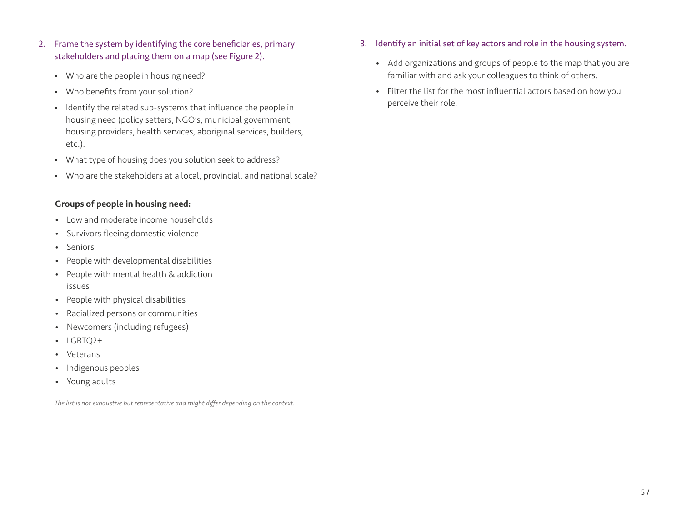- 2. Frame the system by identifying the core beneficiaries, primary stakeholders and placing them on a map (see Figure 2).
	- Who are the people in housing need?
	- Who benefits from your solution?
	- Identify the related sub-systems that influence the people in housing need (policy setters, NGO's, municipal government, housing providers, health services, aboriginal services, builders, etc.).
	- What type of housing does you solution seek to address?
	- Who are the stakeholders at a local, provincial, and national scale?

### Groups of people in housing need:

- Low and moderate income households
- Survivors fleeing domestic violence
- Seniors
- People with developmental disabilities
- People with mental health & addiction issues
- People with physical disabilities
- Racialized persons or communities
- Newcomers (including refugees)
- LGBTQ2+
- Veterans
- Indigenous peoples
- Young adults

*The list is not exhaustive but representative and might differ depending on the context.*

- 3. Identify an initial set of key actors and role in the housing system.
	- Add organizations and groups of people to the map that you are familiar with and ask your colleagues to think of others.
	- Filter the list for the most influential actors based on how you perceive their role.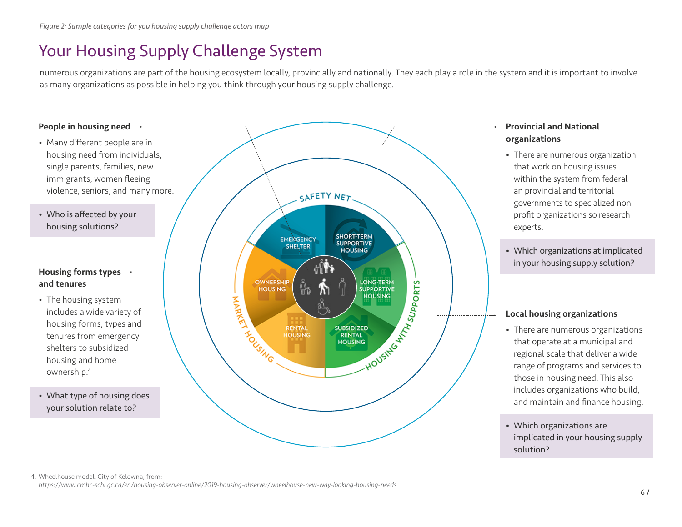# Your Housing Supply Challenge System

numerous organizations are part of the housing ecosystem locally, provincially and nationally. They each play a role in the system and it is important to involve as many organizations as possible in helping you think through your housing supply challenge.



<sup>4.</sup> Wheelhouse model, City of Kelowna, from: *https://www.cmhc-schl.gc.ca/en/housing-observer-online/2019-housing-observer/wheelhouse-new-way-looking-housing-needs*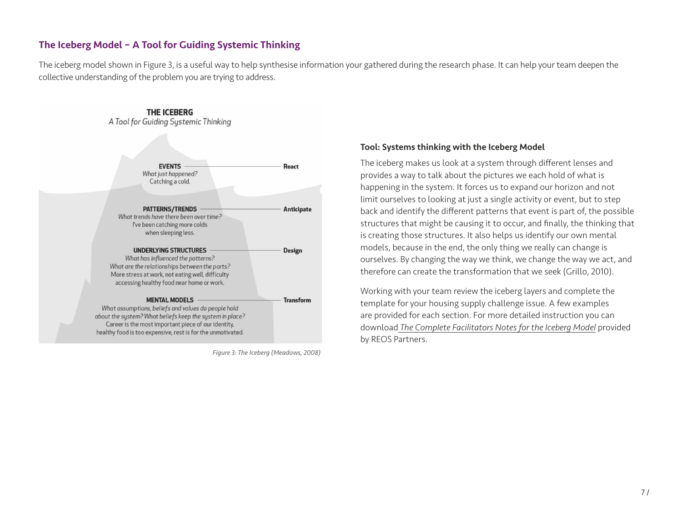# The Iceberg Model – A Tool for Guiding Systemic Thinking

The iceberg model shown in Figure 3, is a useful way to help synthesise information your gathered during the research phase. It can help your team deepen the collective understanding of the problem you are trying to address.



*Figure 3: The Iceberg (Meadows, 2008)*

#### Tool: Systems thinking with the Iceberg Model

The iceberg makes us look at a system through different lenses and provides a way to talk about the pictures we each hold of what is happening in the system. It forces us to expand our horizon and not limit ourselves to looking at just a single activity or event, but to step back and identify the different patterns that event is part of, the possible structures that might be causing it to occur, and finally, the thinking that is creating those structures. It also helps us identify our own mental models, because in the end, the only thing we really can change is ourselves. By changing the way we think, we change the way we act, and therefore can create the transformation that we seek (Grillo, 2010).

Working with your team review the iceberg layers and complete the template for your housing supply challenge issue. A few examples are provided for each section. For more detailed instruction you can download *[The Complete Facilitators Notes for the Iceberg Model](https://reospartners.com/publications/systems-thinking-with-the-iceberg-module/)* provided by REOS Partners.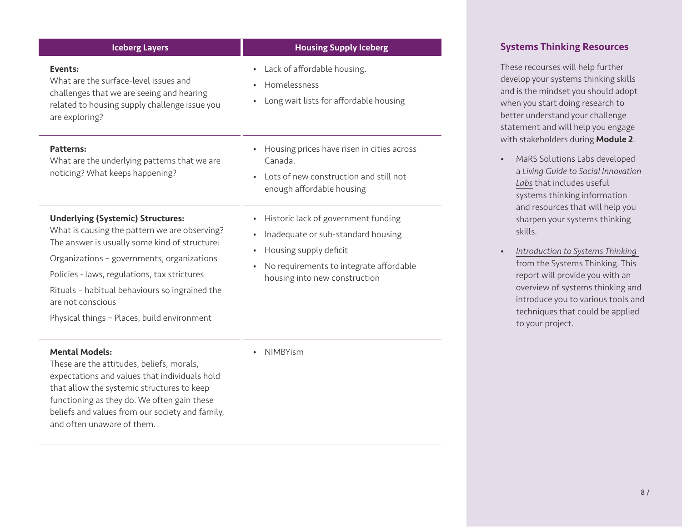| <b>Iceberg Layers</b>                                                                                                                                                                                                                                                                                                                                          | <b>Housing Supply Iceberg</b>                                                                                                                                                                             |
|----------------------------------------------------------------------------------------------------------------------------------------------------------------------------------------------------------------------------------------------------------------------------------------------------------------------------------------------------------------|-----------------------------------------------------------------------------------------------------------------------------------------------------------------------------------------------------------|
| Events:<br>What are the surface-level issues and<br>challenges that we are seeing and hearing<br>related to housing supply challenge issue you<br>are exploring?                                                                                                                                                                                               | Lack of affordable housing.<br>$\bullet$<br>Homelessness<br>$\bullet$<br>Long wait lists for affordable housing                                                                                           |
| Patterns:<br>What are the underlying patterns that we are<br>noticing? What keeps happening?                                                                                                                                                                                                                                                                   | Housing prices have risen in cities across<br>$\bullet$<br>Canada<br>Lots of new construction and still not<br>$\bullet$<br>enough affordable housing                                                     |
| <b>Underlying (Systemic) Structures:</b><br>What is causing the pattern we are observing?<br>The answer is usually some kind of structure:<br>Organizations - governments, organizations<br>Policies - laws, regulations, tax strictures<br>Rituals - habitual behaviours so ingrained the<br>are not conscious<br>Physical things - Places, build environment | Historic lack of government funding<br>Inadequate or sub-standard housing<br>$\bullet$<br>Housing supply deficit<br>$\bullet$<br>No requirements to integrate affordable<br>housing into new construction |

#### Mental Models:

These are the attitudes, beliefs, morals, expectations and values that individuals hold that allow the systemic structures to keep functioning as they do. We often gain these beliefs and values from our society and family, and often unaware of them.

• NIMBYism

### Systems Thinking Resources

These recourses will help further develop your systems thinking skills and is the mindset you should adopt when you start doing research to better understand your challenge statement and will help you engage with stakeholders during **Module 2**.

- MaRS Solutions Labs developed a *[Living Guide to Social Innovation](https://mars-solutions-lab.gitbook.io/living-guide-to-social-innovation-labs/seeing)  [Labs](https://mars-solutions-lab.gitbook.io/living-guide-to-social-innovation-labs/seeing)* that includes useful systems thinking information and resources that will help you sharpen your systems thinking skills.
- *[Introduction to Systems Thinking](https://thesystemsthinker.com/introduction-to-systems-thinking/)* from the Systems Thinking. This report will provide you with an overview of systems thinking and introduce you to various tools and techniques that could be applied to your project.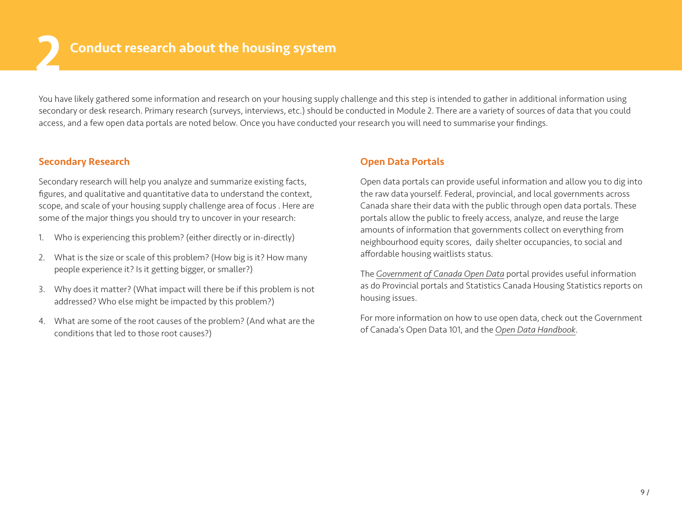You have likely gathered some information and research on your housing supply challenge and this step is intended to gather in additional information using secondary or desk research. Primary research (surveys, interviews, etc.) should be conducted in Module 2. There are a variety of sources of data that you could access, and a few open data portals are noted below. Once you have conducted your research you will need to summarise your findings.

### Secondary Research

Secondary research will help you analyze and summarize existing facts, figures, and qualitative and quantitative data to understand the context, scope, and scale of your housing supply challenge area of focus . Here are some of the major things you should try to uncover in your research:

- 1. Who is experiencing this problem? (either directly or in-directly)
- 2. What is the size or scale of this problem? (How big is it? How many people experience it? Is it getting bigger, or smaller?)
- 3. Why does it matter? (What impact will there be if this problem is not addressed? Who else might be impacted by this problem?)
- 4. What are some of the root causes of the problem? (And what are the conditions that led to those root causes?)

### Open Data Portals

Open data portals can provide useful information and allow you to dig into the raw data yourself. Federal, provincial, and local governments across Canada share their data with the public through open data portals. These portals allow the public to freely access, analyze, and reuse the large amounts of information that governments collect on everything from neighbourhood equity scores, daily shelter occupancies, to social and affordable housing waitlists status.

The *[Government of Canada Open Data](https://open.canada.ca/data/en/dataset)* portal provides useful information as do Provincial portals and Statistics Canada Housing Statistics reports on housing issues.

For more information on how to use open data, check out the Government of Canada's Open Data 101, and the *[Open Data Handbook](https://opendatahandbook.org/)*.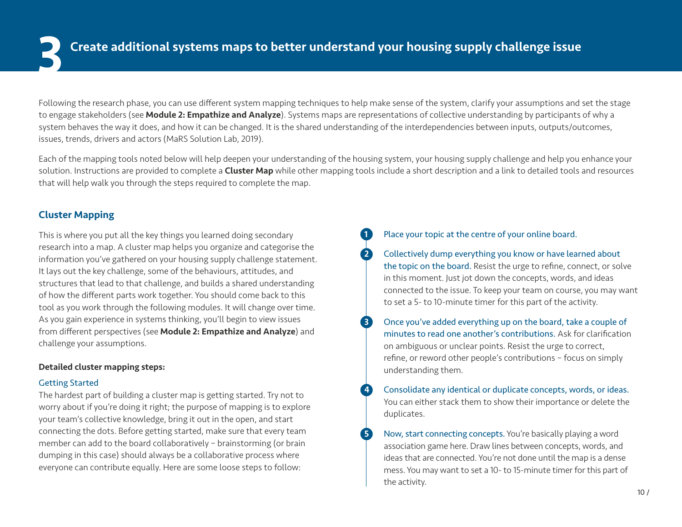Following the research phase, you can use different system mapping techniques to help make sense of the system, clarify your assumptions and set the stage to engage stakeholders (see **Module 2: Empathize and Analyze**). Systems maps are representations of collective understanding by participants of why a system behaves the way it does, and how it can be changed. It is the shared understanding of the interdependencies between inputs, outputs/outcomes, issues, trends, drivers and actors (MaRS Solution Lab, 2019).

Each of the mapping tools noted below will help deepen your understanding of the housing system, your housing supply challenge and help you enhance your solution. Instructions are provided to complete a **Cluster Map** while other mapping tools include a short description and a link to detailed tools and resources that will help walk you through the steps required to complete the map.

## Cluster Mapping

This is where you put all the key things you learned doing secondary research into a map. A cluster map helps you organize and categorise the information you've gathered on your housing supply challenge statement. It lays out the key challenge, some of the behaviours, attitudes, and structures that lead to that challenge, and builds a shared understanding of how the different parts work together. You should come back to this tool as you work through the following modules. It will change over time. As you gain experience in systems thinking, you'll begin to view issues from different perspectives (see Module 2: Empathize and Analyze) and challenge your assumptions.

#### Detailed cluster mapping steps:

### Getting Started

The hardest part of building a cluster map is getting started. Try not to worry about if you're doing it right; the purpose of mapping is to explore your team's collective knowledge, bring it out in the open, and start connecting the dots. Before getting started, make sure that every team member can add to the board collaboratively – brainstorming (or brain dumping in this case) should always be a collaborative process where everyone can contribute equally. Here are some loose steps to follow:

## Place your topic at the centre of your online board.

2 Collectively dump everything you know or have learned about the topic on the board. Resist the urge to refine, connect, or solve in this moment. Just jot down the concepts, words, and ideas connected to the issue. To keep your team on course, you may want to set a 5- to 10-minute timer for this part of the activity.

- 3 Once you've added everything up on the board, take a couple of minutes to read one another's contributions. Ask for clarification on ambiguous or unclear points. Resist the urge to correct, refine, or reword other people's contributions – focus on simply understanding them.
- **4** Consolidate any identical or duplicate concepts, words, or ideas. You can either stack them to show their importance or delete the duplicates.
- **5** Now, start connecting concepts. You're basically playing a word association game here. Draw lines between concepts, words, and ideas that are connected. You're not done until the map is a dense mess. You may want to set a 10- to 15-minute timer for this part of the activity.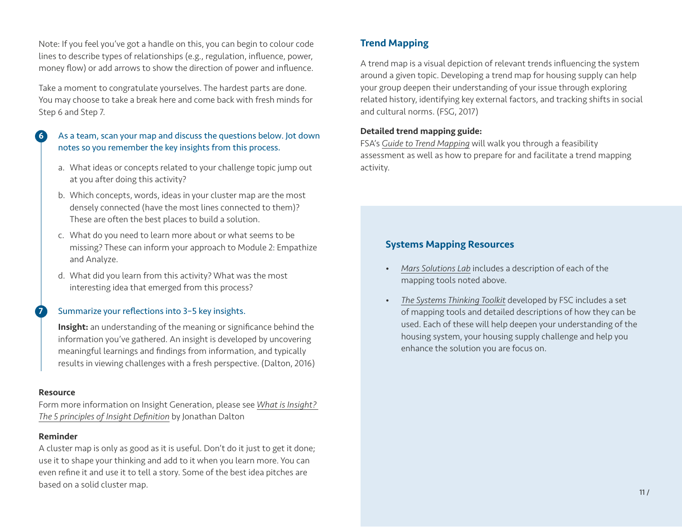Note: If you feel you've got a handle on this, you can begin to colour code lines to describe types of relationships (e.g., regulation, influence, power, money flow) or add arrows to show the direction of power and influence.

Take a moment to congratulate yourselves. The hardest parts are done. You may choose to take a break here and come back with fresh minds for Step 6 and Step 7.

### 6 As a team, scan your map and discuss the questions below. Jot down notes so you remember the key insights from this process.

- a. What ideas or concepts related to your challenge topic jump out at you after doing this activity?
- b. Which concepts, words, ideas in your cluster map are the most densely connected (have the most lines connected to them)? These are often the best places to build a solution.
- c. What do you need to learn more about or what seems to be missing? These can inform your approach to Module 2: Empathize and Analyze.
- d. What did you learn from this activity? What was the most interesting idea that emerged from this process?

#### Summarize your reflections into 3-5 key insights.

Insight: an understanding of the meaning or significance behind the information you've gathered. An insight is developed by uncovering meaningful learnings and findings from information, and typically results in viewing challenges with a fresh perspective. (Dalton, 2016)

#### Resource

Form more information on Insight Generation, please see *[What is Insight?](https://thrivethinking.com/2016/03/28/what-is-insight-definition)  [The 5 principles of Insight Definition](https://thrivethinking.com/2016/03/28/what-is-insight-definition)* by Jonathan Dalton

#### Reminder

A cluster map is only as good as it is useful. Don't do it just to get it done; use it to shape your thinking and add to it when you learn more. You can even refine it and use it to tell a story. Some of the best idea pitches are based on a solid cluster map.

# Trend Mapping

A trend map is a visual depiction of relevant trends influencing the system around a given topic. Developing a trend map for housing supply can help your group deepen their understanding of your issue through exploring related history, identifying key external factors, and tracking shifts in social and cultural norms. (FSG, 2017)

#### [Detailed trend mapping guide:](https://www.fsg.org/tools-and-resources/guide-trend-mapping)

FSA's *[Guide to Trend Mapping](https://www.fsg.org/tools-and-resources/guide-trend-mapping)* will walk you through a feasibility assessment as well as how to prepare for and facilitate a trend mapping activity.

# Systems Mapping Resources

- *[Mars Solutions Lab](https://mars-solutions-lab.gitbook.io/living-guide-to-social-innovation-labs/seeing/understanding-the-problem-systems-and-complexity/systems-mapping)* includes a description of each of the mapping tools noted above.
- *[The Systems Thinking Toolkit](https://www.fsg.org/tools-and-resources/systems-thinking-toolkit-0)* developed by FSC includes a set of mapping tools and detailed descriptions of how they can be used. Each of these will help deepen your understanding of the housing system, your housing supply challenge and help you enhance the solution you are focus on.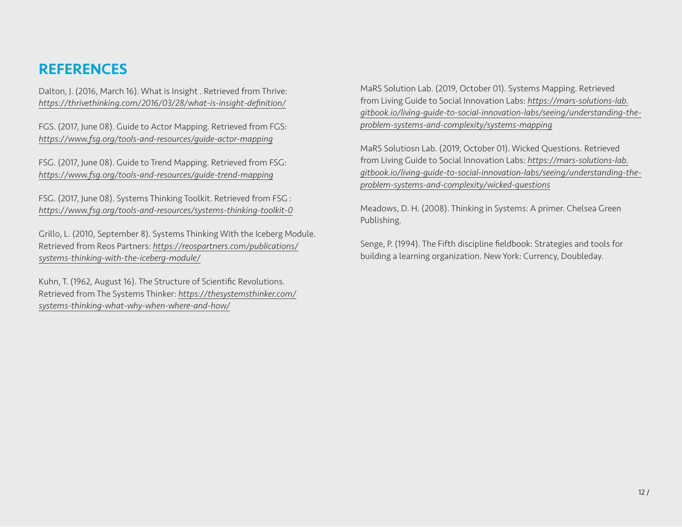# **REFERENCES**

Dalton, J. (2016, March 16). What is Insight . Retrieved from Thrive: *https://thrivethinking.com/2016/03/28/what-is-insight-definition/*

FGS. (2017, June 08). Guide to Actor Mapping. Retrieved from FGS: *https://www.fsg.org/tools-and-resources/guide-actor-mapping*

FSG. (2017, June 08). Guide to Trend Mapping. Retrieved from FSG: *https://www.fsg.org/tools-and-resources/guide-trend-mapping*

FSG. (2017, June 08). Systems Thinking Toolkit. Retrieved from FSG : *https://www.fsg.org/tools-and-resources/systems-thinking-toolkit-0*

Grillo, L. (2010, September 8). Systems Thinking With the Iceberg Module. Retrieved from Reos Partners: *[https://reospartners.com/publications/](https://reospartners.com/publications/systems-thinking-with-the-iceberg-module/) [systems-thinking-with-the-iceberg-module/](https://reospartners.com/publications/systems-thinking-with-the-iceberg-module/)*

Kuhn, T. (1962, August 16). The Structure of Scientific Revolutions. Retrieved from The Systems Thinker: *[https://thesystemsthinker.com/](https://thesystemsthinker.com/systems-thinking-what-why-when-where-and-how/) [systems-thinking-what-why-when-where-and-how/](https://thesystemsthinker.com/systems-thinking-what-why-when-where-and-how/)*

MaRS Solution Lab. (2019, October 01). Systems Mapping. Retrieved from Living Guide to Social Innovation Labs: *[https://mars-solutions-lab.](https://mars-solutions-lab.gitbook.io/living-guide-to-social-innovation-labs/seeing/understanding-the-problem-systems-and-complexity/systems-mapping
) [gitbook.io/living-guide-to-social-innovation-labs/seeing/understanding-the](https://mars-solutions-lab.gitbook.io/living-guide-to-social-innovation-labs/seeing/understanding-the-problem-systems-and-complexity/systems-mapping
)[problem-systems-and-complexity/systems-mapping](https://mars-solutions-lab.gitbook.io/living-guide-to-social-innovation-labs/seeing/understanding-the-problem-systems-and-complexity/systems-mapping
)*

MaRS Solutiosn Lab. (2019, October 01). Wicked Questions. Retrieved from Living Guide to Social Innovation Labs: *[https://mars-solutions-lab.](https://mars-solutions-lab.gitbook.io/living-guide-to-social-innovation-labs/seeing/understanding-the-problem-systems-and-complexity/wicked-questions) [gitbook.io/living-guide-to-social-innovation-labs/seeing/understanding-the](https://mars-solutions-lab.gitbook.io/living-guide-to-social-innovation-labs/seeing/understanding-the-problem-systems-and-complexity/wicked-questions)[problem-systems-and-complexity/wicked-questions](https://mars-solutions-lab.gitbook.io/living-guide-to-social-innovation-labs/seeing/understanding-the-problem-systems-and-complexity/wicked-questions)*

Meadows, D. H. (2008). Thinking in Systems: A primer. Chelsea Green Publishing.

Senge, P. (1994). The Fifth discipline fieldbook: Strategies and tools for building a learning organization. New York: Currency, Doubleday.